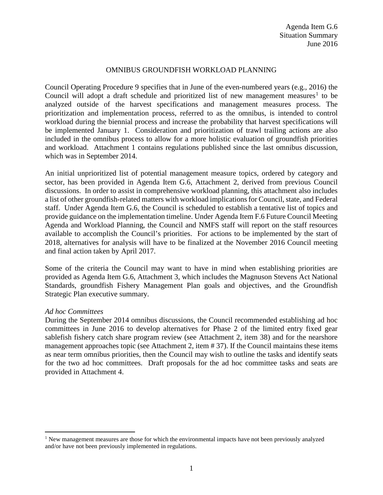# OMNIBUS GROUNDFISH WORKLOAD PLANNING

Council Operating Procedure 9 specifies that in June of the even-numbered years (e.g., 2016) the Council will adopt a draft schedule and prioritized list of new management measures<sup>[1](#page-0-0)</sup> to be analyzed outside of the harvest specifications and management measures process. The prioritization and implementation process, referred to as the omnibus, is intended to control workload during the biennial process and increase the probability that harvest specifications will be implemented January 1. Consideration and prioritization of trawl trailing actions are also included in the omnibus process to allow for a more holistic evaluation of groundfish priorities and workload. Attachment 1 contains regulations published since the last omnibus discussion, which was in September 2014.

An initial unprioritized list of potential management measure topics, ordered by category and sector, has been provided in Agenda Item G.6, Attachment 2, derived from previous Council discussions. In order to assist in comprehensive workload planning, this attachment also includes a list of other groundfish-related matters with workload implications for Council, state, and Federal staff. Under Agenda Item G.6, the Council is scheduled to establish a tentative list of topics and provide guidance on the implementation timeline. Under Agenda Item F.6 Future Council Meeting Agenda and Workload Planning, the Council and NMFS staff will report on the staff resources available to accomplish the Council's priorities. For actions to be implemented by the start of 2018, alternatives for analysis will have to be finalized at the November 2016 Council meeting and final action taken by April 2017.

Some of the criteria the Council may want to have in mind when establishing priorities are provided as Agenda Item G.6, Attachment 3, which includes the Magnuson Stevens Act National Standards, groundfish Fishery Management Plan goals and objectives, and the Groundfish Strategic Plan executive summary.

### *Ad hoc Committees*

During the September 2014 omnibus discussions, the Council recommended establishing ad hoc committees in June 2016 to develop alternatives for Phase 2 of the limited entry fixed gear sablefish fishery catch share program review (see Attachment 2, item 38) and for the nearshore management approaches topic (see Attachment 2, item # 37). If the Council maintains these items as near term omnibus priorities, then the Council may wish to outline the tasks and identify seats for the two ad hoc committees. Draft proposals for the ad hoc committee tasks and seats are provided in Attachment 4.

<span id="page-0-0"></span> $1$  New management measures are those for which the environmental impacts have not been previously analyzed and/or have not been previously implemented in regulations.